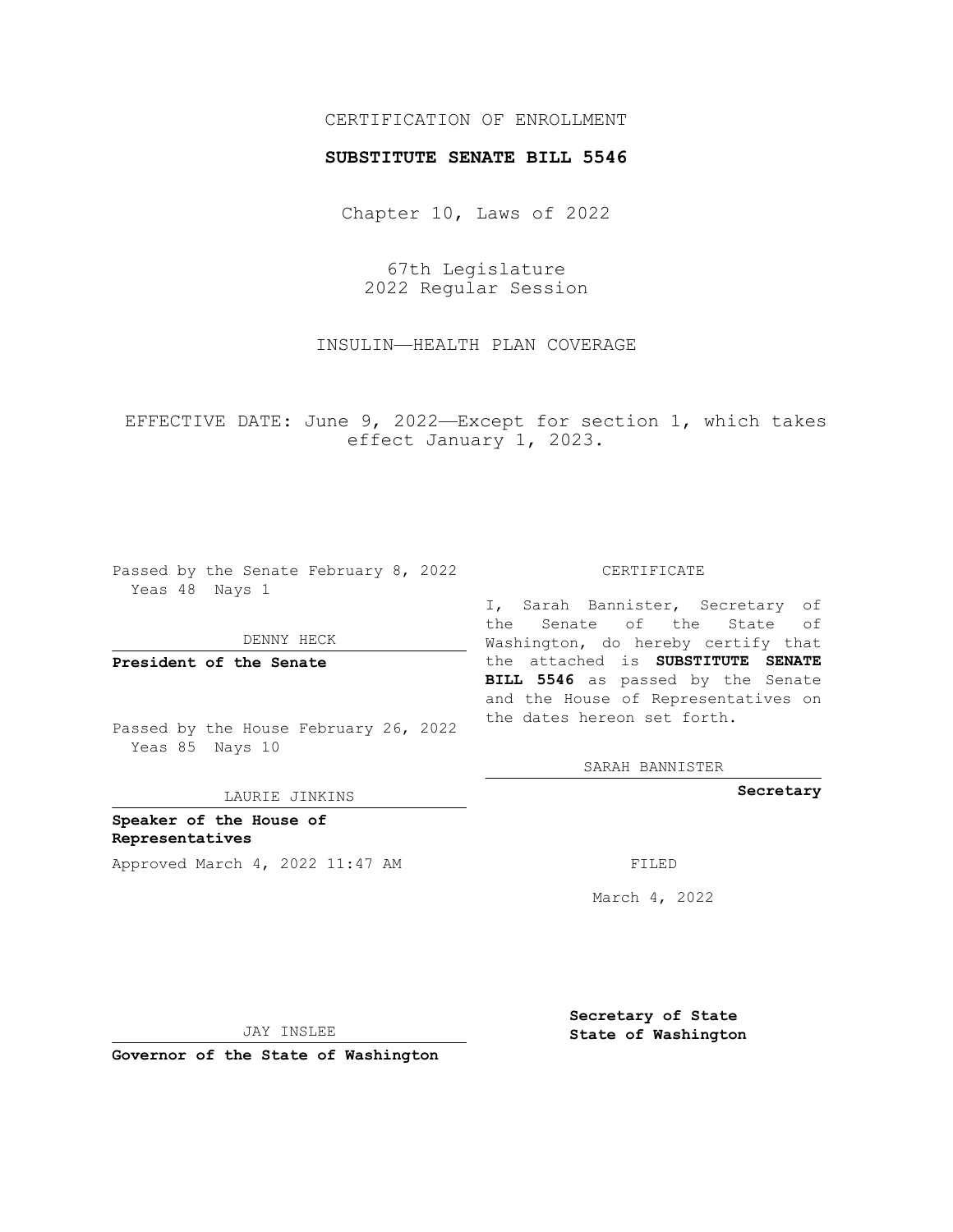## CERTIFICATION OF ENROLLMENT

## **SUBSTITUTE SENATE BILL 5546**

Chapter 10, Laws of 2022

67th Legislature 2022 Regular Session

INSULIN—HEALTH PLAN COVERAGE

EFFECTIVE DATE: June 9, 2022—Except for section 1, which takes effect January 1, 2023.

Passed by the Senate February 8, 2022 Yeas 48 Nays 1

DENNY HECK

**President of the Senate**

Passed by the House February 26, 2022 Yeas 85 Nays 10

LAURIE JINKINS

**Speaker of the House of Representatives** Approved March 4, 2022 11:47 AM

CERTIFICATE

I, Sarah Bannister, Secretary of the Senate of the State of Washington, do hereby certify that the attached is **SUBSTITUTE SENATE BILL 5546** as passed by the Senate and the House of Representatives on the dates hereon set forth.

SARAH BANNISTER

**Secretary**

March 4, 2022

JAY INSLEE

**Secretary of State State of Washington**

**Governor of the State of Washington**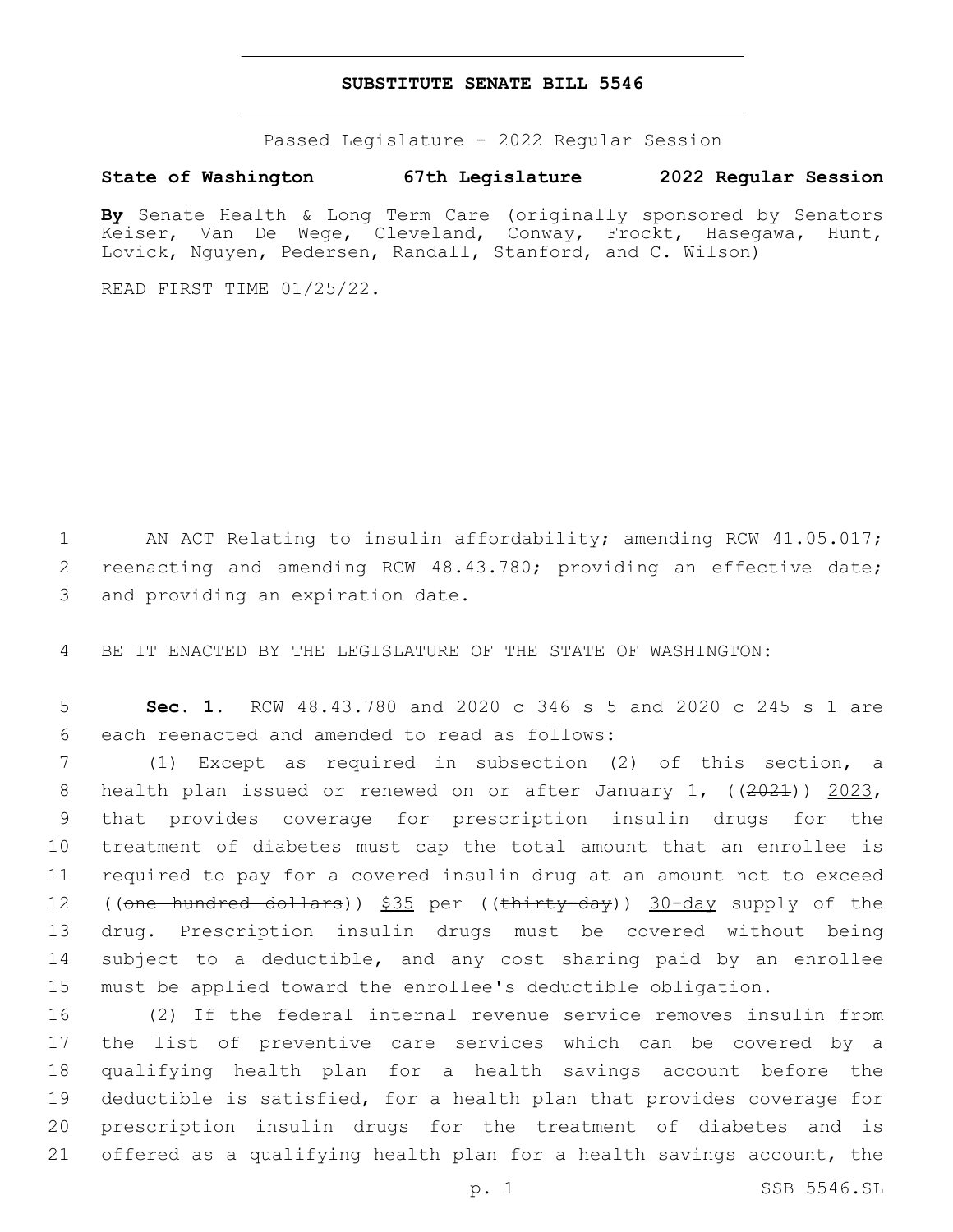## **SUBSTITUTE SENATE BILL 5546**

Passed Legislature - 2022 Regular Session

## **State of Washington 67th Legislature 2022 Regular Session**

**By** Senate Health & Long Term Care (originally sponsored by Senators Keiser, Van De Wege, Cleveland, Conway, Frockt, Hasegawa, Hunt, Lovick, Nguyen, Pedersen, Randall, Stanford, and C. Wilson)

READ FIRST TIME 01/25/22.

1 AN ACT Relating to insulin affordability; amending RCW 41.05.017; 2 reenacting and amending RCW 48.43.780; providing an effective date; 3 and providing an expiration date.

4 BE IT ENACTED BY THE LEGISLATURE OF THE STATE OF WASHINGTON:

5 **Sec. 1.** RCW 48.43.780 and 2020 c 346 s 5 and 2020 c 245 s 1 are 6 each reenacted and amended to read as follows:

 (1) Except as required in subsection (2) of this section, a 8 health plan issued or renewed on or after January 1,  $((2021)$ ) 2023, that provides coverage for prescription insulin drugs for the treatment of diabetes must cap the total amount that an enrollee is required to pay for a covered insulin drug at an amount not to exceed 12 ((<del>one hundred dollars</del>)) \$35 per ((thirty-day)) 30-day supply of the drug. Prescription insulin drugs must be covered without being 14 subject to a deductible, and any cost sharing paid by an enrollee must be applied toward the enrollee's deductible obligation.

 (2) If the federal internal revenue service removes insulin from the list of preventive care services which can be covered by a qualifying health plan for a health savings account before the deductible is satisfied, for a health plan that provides coverage for prescription insulin drugs for the treatment of diabetes and is offered as a qualifying health plan for a health savings account, the